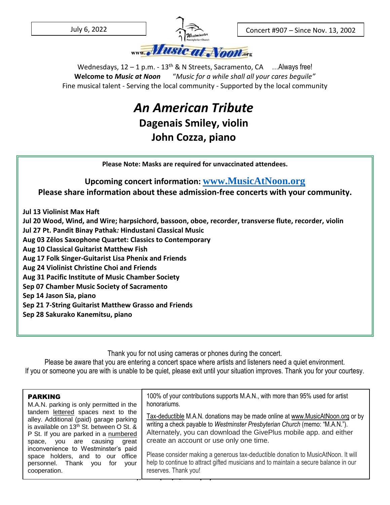

Concert #907 – Since Nov. 13, 2002

– Since Nov. 13, 2002

Wednesdays,  $12 - 1$  p.m. -  $13<sup>th</sup>$  & N Streets, Sacramento, CA ... Always free! **Welcome to** *Music at Noon* "*Music for a while shall all your cares beguile"* Fine musical talent - Serving the local community - Supported by the local community

## *An American Tribute* **Dagenais Smiley, violin John Cozza, piano**

**Please Note: Masks are required for unvaccinated attendees.**

## **Upcoming concert information: [www.MusicAtNoon.org](http://www.musicatnoon.org/) Please share information about these admission-free concerts with your community.**

**Jul 13 Violinist Max Haft**

**Jul 20 Wood, Wind, and Wire; harpsichord, bassoon, oboe, recorder, transverse flute, recorder, violin**

**Jul 27 Pt. Pandit Binay Pathak***:* **Hindustani Classical Music**

**Aug 03 Zēlos Saxophone Quartet: Classics to Contemporary**

**Aug 10 Classical Guitarist Matthew Fish**

**Aug 17 Folk Singer-Guitarist Lisa Phenix and Friends**

**Aug 24 Violinist Christine Choi and Friends**

**Aug 31 Pacific Institute of Music Chamber Society**

**Sep 07 Chamber Music Society of Sacramento**

**Sep 14 Jason Sia, piano**

**Sep 21 7-String Guitarist Matthew Grasso and Friends**

**Sep 28 Sakurako Kanemitsu, piano**

Thank you for not using cameras or phones during the concert.

Please be aware that you are entering a concert space where artists and listeners need a quiet environment. If you or someone you are with is unable to be quiet, please exit until your situation improves. Thank you for your courtesy.

| honorariums.<br>M.A.N. parking is only permitted in the<br>tandem lettered spaces next to the<br>alley. Additional (paid) garage parking<br>is available on 13 <sup>th</sup> St. between O St. &<br>P St. If you are parked in a numbered<br>space, you are causing<br>great<br>inconvenience to Westminster's paid<br>space holders, and to our<br>office<br>personnel. Thank<br>vou<br>for<br>vour<br>cooperation. | Tax-deductible M.A.N. donations may be made online at www.MusicAtNoon.org or by<br>writing a check payable to Westminster Presbyterian Church (memo: "M.A.N.").<br>Alternately, you can download the GivePlus mobile app. and either<br>create an account or use only one time.<br>Please consider making a generous tax-deductible donation to MusicAtNoon. It will<br>help to continue to attract gifted musicians and to maintain a secure balance in our<br>reserves. Thank you! |
|----------------------------------------------------------------------------------------------------------------------------------------------------------------------------------------------------------------------------------------------------------------------------------------------------------------------------------------------------------------------------------------------------------------------|--------------------------------------------------------------------------------------------------------------------------------------------------------------------------------------------------------------------------------------------------------------------------------------------------------------------------------------------------------------------------------------------------------------------------------------------------------------------------------------|
|----------------------------------------------------------------------------------------------------------------------------------------------------------------------------------------------------------------------------------------------------------------------------------------------------------------------------------------------------------------------------------------------------------------------|--------------------------------------------------------------------------------------------------------------------------------------------------------------------------------------------------------------------------------------------------------------------------------------------------------------------------------------------------------------------------------------------------------------------------------------------------------------------------------------|